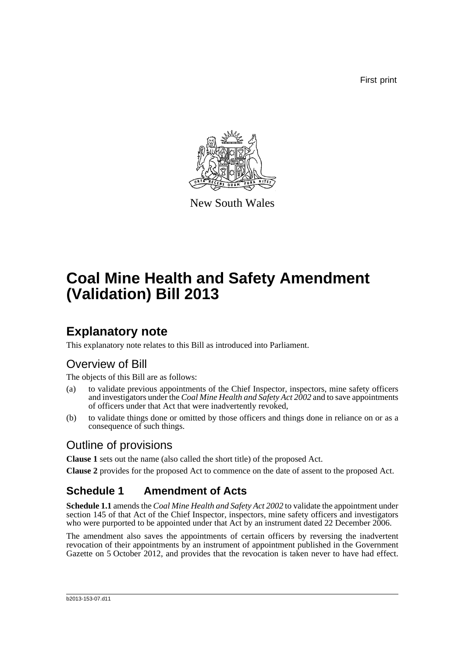First print



New South Wales

# **Coal Mine Health and Safety Amendment (Validation) Bill 2013**

### **Explanatory note**

This explanatory note relates to this Bill as introduced into Parliament.

### Overview of Bill

The objects of this Bill are as follows:

- (a) to validate previous appointments of the Chief Inspector, inspectors, mine safety officers and investigators under the *Coal Mine Health and Safety Act 2002* and to save appointments of officers under that Act that were inadvertently revoked,
- (b) to validate things done or omitted by those officers and things done in reliance on or as a consequence of such things.

### Outline of provisions

**Clause 1** sets out the name (also called the short title) of the proposed Act.

**Clause 2** provides for the proposed Act to commence on the date of assent to the proposed Act.

### **Schedule 1 Amendment of Acts**

**Schedule 1.1** amends the *Coal Mine Health and Safety Act 2002* to validate the appointment under section 145 of that Act of the Chief Inspector, inspectors, mine safety officers and investigators who were purported to be appointed under that Act by an instrument dated 22 December 2006.

The amendment also saves the appointments of certain officers by reversing the inadvertent revocation of their appointments by an instrument of appointment published in the Government Gazette on 5 October 2012, and provides that the revocation is taken never to have had effect.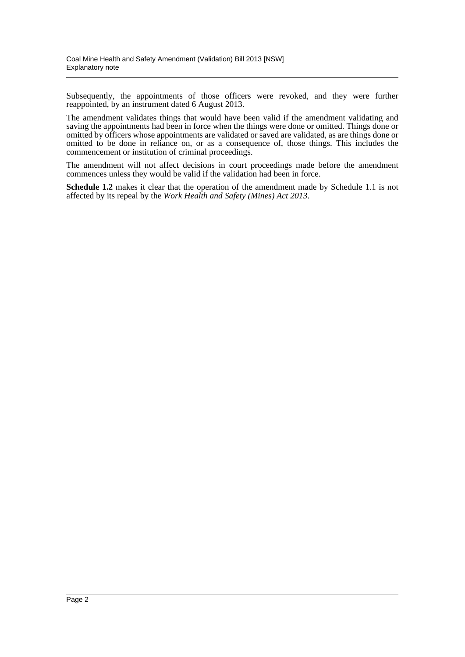Subsequently, the appointments of those officers were revoked, and they were further reappointed, by an instrument dated 6 August 2013.

The amendment validates things that would have been valid if the amendment validating and saving the appointments had been in force when the things were done or omitted. Things done or omitted by officers whose appointments are validated or saved are validated, as are things done or omitted to be done in reliance on, or as a consequence of, those things. This includes the commencement or institution of criminal proceedings.

The amendment will not affect decisions in court proceedings made before the amendment commences unless they would be valid if the validation had been in force.

**Schedule 1.2** makes it clear that the operation of the amendment made by Schedule 1.1 is not affected by its repeal by the *Work Health and Safety (Mines) Act 2013*.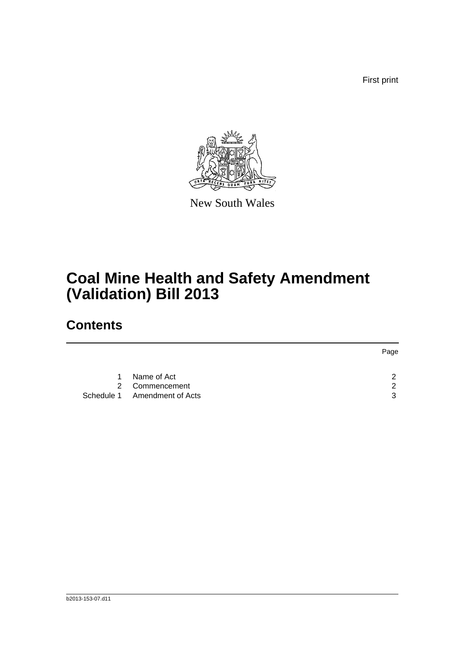First print



New South Wales

# **Coal Mine Health and Safety Amendment (Validation) Bill 2013**

### **Contents**

|             |                              | Page |
|-------------|------------------------------|------|
|             |                              |      |
| $\mathbf 1$ | Name of Act                  | ົ    |
|             | 2 Commencement               | ົ    |
|             | Schedule 1 Amendment of Acts | વ    |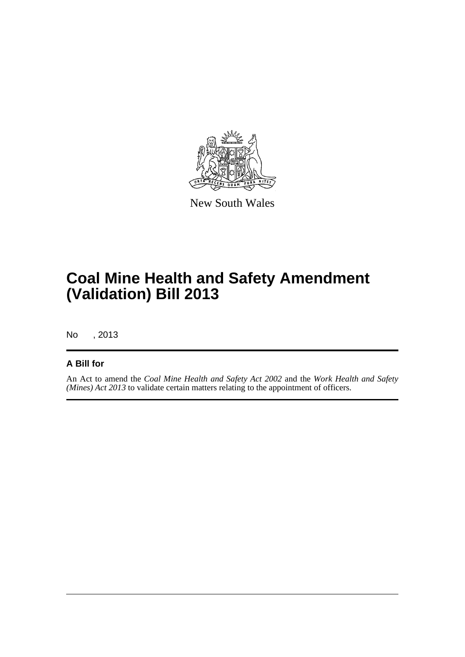

New South Wales

## **Coal Mine Health and Safety Amendment (Validation) Bill 2013**

No , 2013

#### **A Bill for**

An Act to amend the *Coal Mine Health and Safety Act 2002* and the *Work Health and Safety (Mines) Act 2013* to validate certain matters relating to the appointment of officers.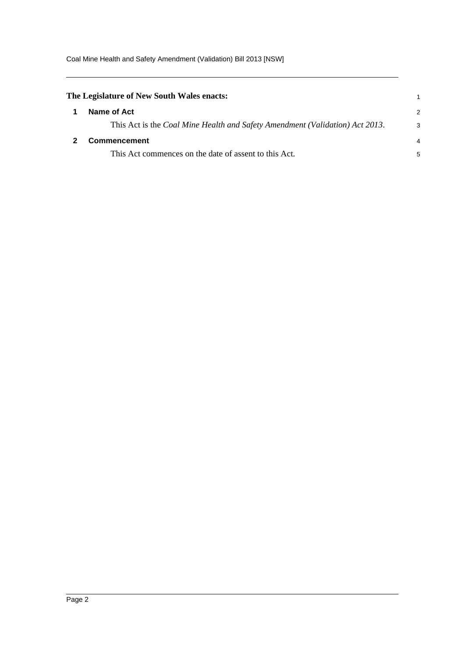Coal Mine Health and Safety Amendment (Validation) Bill 2013 [NSW]

<span id="page-4-1"></span><span id="page-4-0"></span>

| The Legislature of New South Wales enacts: |                                                                              |   |
|--------------------------------------------|------------------------------------------------------------------------------|---|
|                                            | Name of Act                                                                  | 2 |
|                                            | This Act is the Coal Mine Health and Safety Amendment (Validation) Act 2013. | 3 |
|                                            | Commencement                                                                 | 4 |
|                                            | This Act commences on the date of assent to this Act.                        | 5 |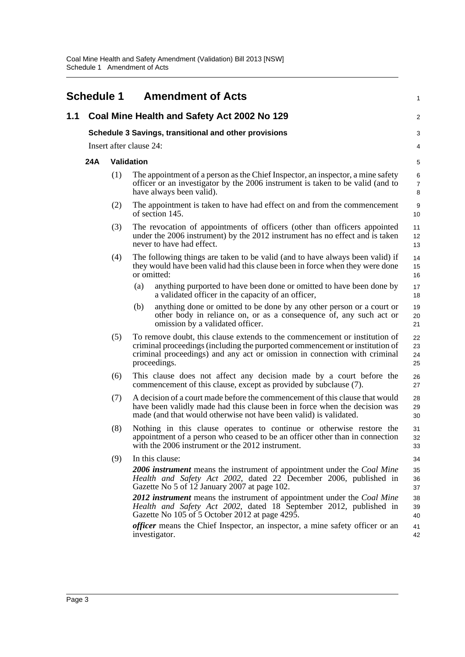<span id="page-5-0"></span>

|     | <b>Schedule 1</b>                                     |                         |            | <b>Amendment of Acts</b>                                                                                                                                                                                                                                                                                                                                                                                                                                                                                                 | 1                                                  |  |
|-----|-------------------------------------------------------|-------------------------|------------|--------------------------------------------------------------------------------------------------------------------------------------------------------------------------------------------------------------------------------------------------------------------------------------------------------------------------------------------------------------------------------------------------------------------------------------------------------------------------------------------------------------------------|----------------------------------------------------|--|
| 1.1 |                                                       |                         |            | Coal Mine Health and Safety Act 2002 No 129                                                                                                                                                                                                                                                                                                                                                                                                                                                                              | $\overline{2}$                                     |  |
|     | Schedule 3 Savings, transitional and other provisions |                         |            |                                                                                                                                                                                                                                                                                                                                                                                                                                                                                                                          |                                                    |  |
|     |                                                       | Insert after clause 24: |            |                                                                                                                                                                                                                                                                                                                                                                                                                                                                                                                          | 4                                                  |  |
|     | 24A                                                   |                         | Validation |                                                                                                                                                                                                                                                                                                                                                                                                                                                                                                                          | 5                                                  |  |
|     |                                                       | (1)                     |            | The appointment of a person as the Chief Inspector, an inspector, a mine safety<br>officer or an investigator by the 2006 instrument is taken to be valid (and to<br>have always been valid).                                                                                                                                                                                                                                                                                                                            | 6<br>$\overline{7}$<br>8                           |  |
|     |                                                       | (2)                     |            | The appointment is taken to have had effect on and from the commencement<br>of section 145.                                                                                                                                                                                                                                                                                                                                                                                                                              | 9<br>10                                            |  |
|     |                                                       | (3)                     |            | The revocation of appointments of officers (other than officers appointed<br>under the 2006 instrument) by the 2012 instrument has no effect and is taken<br>never to have had effect.                                                                                                                                                                                                                                                                                                                                   | 11<br>12<br>13                                     |  |
|     |                                                       | (4)                     |            | The following things are taken to be valid (and to have always been valid) if<br>they would have been valid had this clause been in force when they were done<br>or omitted:                                                                                                                                                                                                                                                                                                                                             | 14<br>15<br>16                                     |  |
|     |                                                       |                         | (a)        | anything purported to have been done or omitted to have been done by<br>a validated officer in the capacity of an officer,                                                                                                                                                                                                                                                                                                                                                                                               | 17<br>18                                           |  |
|     |                                                       |                         | (b)        | anything done or omitted to be done by any other person or a court or<br>other body in reliance on, or as a consequence of, any such act or<br>omission by a validated officer.                                                                                                                                                                                                                                                                                                                                          | 19<br>20<br>21                                     |  |
|     |                                                       | (5)                     |            | To remove doubt, this clause extends to the commencement or institution of<br>criminal proceedings (including the purported commencement or institution of<br>criminal proceedings) and any act or omission in connection with criminal<br>proceedings.                                                                                                                                                                                                                                                                  | 22<br>23<br>24<br>25                               |  |
|     |                                                       | (6)                     |            | This clause does not affect any decision made by a court before the<br>commencement of this clause, except as provided by subclause (7).                                                                                                                                                                                                                                                                                                                                                                                 | 26<br>27                                           |  |
|     |                                                       | (7)                     |            | A decision of a court made before the commencement of this clause that would<br>have been validly made had this clause been in force when the decision was<br>made (and that would otherwise not have been valid) is validated.                                                                                                                                                                                                                                                                                          | 28<br>29<br>30                                     |  |
|     |                                                       | (8)                     |            | Nothing in this clause operates to continue or otherwise restore the<br>appointment of a person who ceased to be an officer other than in connection<br>with the 2006 instrument or the 2012 instrument.                                                                                                                                                                                                                                                                                                                 | 31<br>32<br>33                                     |  |
|     |                                                       | (9)                     |            | In this clause:<br>2006 instrument means the instrument of appointment under the Coal Mine<br>Health and Safety Act 2002, dated 22 December 2006, published in<br>Gazette No 5 of 12 January 2007 at page 102.<br>2012 instrument means the instrument of appointment under the Coal Mine<br>Health and Safety Act 2002, dated 18 September 2012, published in<br>Gazette No 105 of 5 October 2012 at page 4295.<br><i>officer</i> means the Chief Inspector, an inspector, a mine safety officer or an<br>investigator. | 34<br>35<br>36<br>37<br>38<br>39<br>40<br>41<br>42 |  |